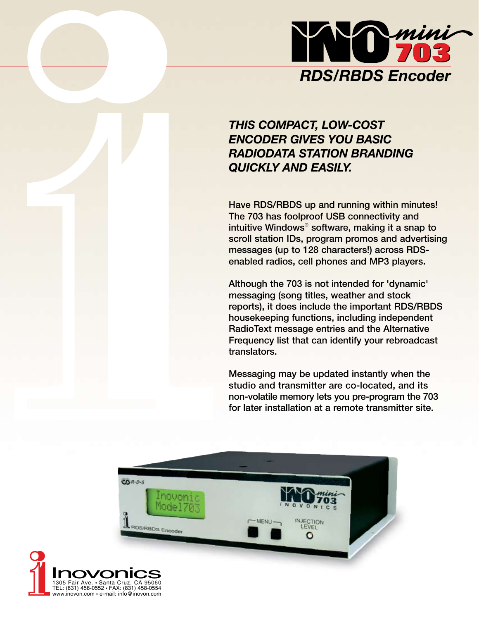

# *THIS COMPACT, LOW-COST ENCODER GIVES YOU BASIC RADIODATA STATION BRANDING QUICKLY AND EASILY.*

Have RDS/RBDS up and running within minutes! The 703 has foolproof USB connectivity and intuitive Windows® software, making it a snap to scroll station IDs, program promos and advertising messages (up to 128 characters!) across RDSenabled radios, cell phones and MP3 players.

Although the 703 is not intended for 'dynamic' messaging (song titles, weather and stock reports), it does include the important RDS/RBDS housekeeping functions, including independent RadioText message entries and the Alternative Frequency list that can identify your rebroadcast translators.

Messaging may be updated instantly when the studio and transmitter are co-located, and its non-volatile memory lets you pre-program the 703 for later installation at a remote transmitter site.